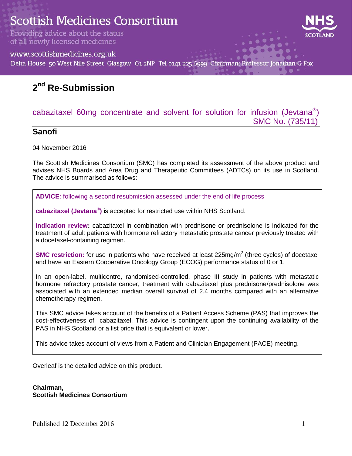# **Scottish Medicines Consortium**

Providing advice about the status of all newly licensed medicines



www.scottishmedicines.org.uk

Delta House 50 West Nile Street Glasgow G1 2NP Tel 0141 225 6999 Chairman: Professor Jonathan G Fox

# **2 nd Re-Submission**

#### cabazitaxel 60mg concentrate and solvent for solution for infusion (Jevtana**®** ) SMC No. (735/11)

#### **Sanofi**

04 November 2016

The Scottish Medicines Consortium (SMC) has completed its assessment of the above product and advises NHS Boards and Area Drug and Therapeutic Committees (ADTCs) on its use in Scotland. The advice is summarised as follows:

**ADVICE**: following a second resubmission assessed under the end of life process

**cabazitaxel (Jevtana® )** is accepted for restricted use within NHS Scotland.

**Indication review:** cabazitaxel in combination with prednisone or prednisolone is indicated for the treatment of adult patients with hormone refractory metastatic prostate cancer previously treated with a docetaxel-containing regimen.

**SMC restriction:** for use in patients who have received at least 225mg/m<sup>2</sup> (three cycles) of docetaxel and have an Eastern Cooperative Oncology Group (ECOG) performance status of 0 or 1.

In an open-label, multicentre, randomised-controlled, phase III study in patients with metastatic hormone refractory prostate cancer, treatment with cabazitaxel plus prednisone/prednisolone was associated with an extended median overall survival of 2.4 months compared with an alternative chemotherapy regimen.

This SMC advice takes account of the benefits of a Patient Access Scheme (PAS) that improves the cost-effectiveness of cabazitaxel. This advice is contingent upon the continuing availability of the PAS in NHS Scotland or a list price that is equivalent or lower.

This advice takes account of views from a Patient and Clinician Engagement (PACE) meeting.

Overleaf is the detailed advice on this product.

**Chairman, Scottish Medicines Consortium**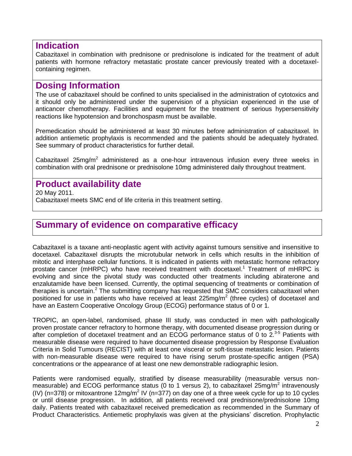#### **Indication**

Cabazitaxel in combination with prednisone or prednisolone is indicated for the treatment of adult patients with hormone refractory metastatic prostate cancer previously treated with a docetaxelcontaining regimen.

### **Dosing Information**

The use of cabazitaxel should be confined to units specialised in the administration of cytotoxics and it should only be administered under the supervision of a physician experienced in the use of anticancer chemotherapy. Facilities and equipment for the treatment of serious hypersensitivity reactions like hypotension and bronchospasm must be available.

Premedication should be administered at least 30 minutes before administration of cabazitaxel. In addition antiemetic prophylaxis is recommended and the patients should be adequately hydrated. See summary of product characteristics for further detail.

Cabazitaxel 25mg/m<sup>2</sup> administered as a one-hour intravenous infusion every three weeks in combination with oral prednisone or prednisolone 10mg administered daily throughout treatment.

#### **Product availability date**

20 May 2011.

Cabazitaxel meets SMC end of life criteria in this treatment setting.

# **Summary of evidence on comparative efficacy**

Cabazitaxel is a taxane anti-neoplastic agent with activity against tumours sensitive and insensitive to docetaxel. Cabazitaxel disrupts the microtubular network in cells which results in the inhibition of mitotic and interphase cellular functions. It is indicated in patients with metastatic hormone refractory prostate cancer (mHRPC) who have received treatment with docetaxel.<sup>1</sup> Treatment of mHRPC is evolving and since the pivotal study was conducted other treatments including abiraterone and enzalutamide have been licensed. Currently, the optimal sequencing of treatments or combination of therapies is uncertain.<sup>2</sup> The submitting company has requested that SMC considers cabazitaxel when positioned for use in patients who have received at least 225mg/m<sup>2</sup> (three cycles) of docetaxel and have an Eastern Cooperative Oncology Group (ECOG) performance status of 0 or 1.

TROPIC, an open-label, randomised, phase III study, was conducted in men with pathologically proven prostate cancer refractory to hormone therapy, with documented disease progression during or after completion of docetaxel treatment and an ECOG performance status of 0 to 2.<sup>3-5</sup> Patients with measurable disease were required to have documented disease progression by Response Evaluation Criteria in Solid Tumours (RECIST) with at least one visceral or soft-tissue metastatic lesion. Patients with non-measurable disease were required to have rising serum prostate-specific antigen (PSA) concentrations or the appearance of at least one new demonstrable radiographic lesion.

Patients were randomised equally, stratified by disease measurability (measurable versus nonmeasurable) and ECOG performance status (0 to 1 versus 2), to cabazitaxel 25mg/m<sup>2</sup> intravenously (IV) (n=378) or mitoxantrone 12mg/m<sup>2</sup> IV (n=377) on day one of a three week cycle for up to 10 cycles or until disease progression. In addition, all patients received oral prednisone/prednisolone 10mg daily. Patients treated with cabazitaxel received premedication as recommended in the Summary of Product Characteristics. Antiemetic prophylaxis was given at the physicians' discretion. Prophylactic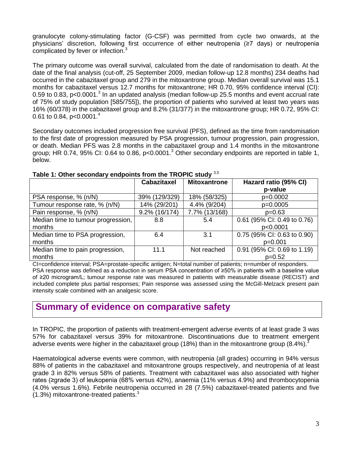granulocyte colony-stimulating factor (G-CSF) was permitted from cycle two onwards, at the physicians' discretion, following first occurrence of either neutropenia (≥7 days) or neutropenia complicated by fever or infection.<sup>3</sup>

The primary outcome was overall survival, calculated from the date of randomisation to death. At the date of the final analysis (cut-off, 25 September 2009, median follow-up 12.8 months) 234 deaths had occurred in the cabazitaxel group and 279 in the mitoxantrone group. Median overall survival was 15.1 months for cabazitaxel versus 12.7 months for mitoxantrone; HR 0.70, 95% confidence interval (CI): 0.59 to 0.83, p<0.0001.<sup>3</sup> In an updated analysis (median follow-up 25.5 months and event accrual rate of 75% of study population [585/755]), the proportion of patients who survived at least two years was 16% (60/378) in the cabazitaxel group and 8.2% (31/377) in the mitoxantrone group; HR 0.72, 95% CI: 0.61 to 0.84, p<0.0001.<sup>4</sup>

Secondary outcomes included progression free survival (PFS), defined as the time from randomisation to the first date of progression measured by PSA progression, tumour progression, pain progression, or death. Median PFS was 2.8 months in the cabazitaxel group and 1.4 months in the mitoxantrone group; HR 0.74, 95% CI: 0.64 to 0.86, p<0.0001.<sup>3</sup> Other secondary endpoints are reported in table 1, below.

|                                    | <b>Cabazitaxel</b> | <b>Mitoxantrone</b> | Hazard ratio (95% CI)       |  |  |  |
|------------------------------------|--------------------|---------------------|-----------------------------|--|--|--|
|                                    |                    |                     | p-value                     |  |  |  |
| PSA response, % (n/N)              | 39% (129/329)      | 18% (58/325)        | p=0.0002                    |  |  |  |
| Tumour response rate, % (n/N)      | 14% (29/201)       | 4.4% (9/204)        | p=0.0005                    |  |  |  |
| Pain response, % (n/N)             | 9.2% (16/174)      | 7.7% (13/168)       | $p=0.63$                    |  |  |  |
| Median time to tumour progression, | 8.8                | 5.4                 | 0.61 (95% CI: 0.49 to 0.76) |  |  |  |
| months                             |                    |                     | p<0.0001                    |  |  |  |
| Median time to PSA progression,    | 6.4                | 3.1                 | 0.75 (95% CI: 0.63 to 0.90) |  |  |  |
| months                             |                    |                     | $p=0.001$                   |  |  |  |
| Median time to pain progression,   | 11.1               | Not reached         | 0.91 (95% CI: 0.69 to 1.19) |  |  |  |
| months                             |                    |                     | $p=0.52$                    |  |  |  |

#### **Table 1: Other secondary endpoints from the TROPIC study** 3,5

CI=confidence interval; PSA=prostate-specific antigen; N=total number of patients; n=number of responders. PSA response was defined as a reduction in serum PSA concentration of ≥50% in patients with a baseline value of ≥20 microgram/L; tumour response rate was measured in patients with measurable disease (RECIST) and included complete plus partial responses; Pain response was assessed using the McGill-Melzack present pain intensity scale combined with an analgesic score.

### **Summary of evidence on comparative safety**

In TROPIC, the proportion of patients with treatment-emergent adverse events of at least grade 3 was 57% for cabazitaxel versus 39% for mitoxantrone. Discontinuations due to treatment emergent adverse events were higher in the cabazitaxel group (18%) than in the mitoxantrone group (8.4%).<sup>3</sup>

Haematological adverse events were common, with neutropenia (all grades) occurring in 94% versus 88% of patients in the cabazitaxel and mitoxantrone groups respectively, and neutropenia of at least grade 3 in 82% versus 58% of patients. Treatment with cabazitaxel was also associated with higher rates (≥grade 3) of leukopenia (68% versus 42%), anaemia (11% versus 4.9%) and thrombocytopenia (4.0% versus 1.6%). Febrile neutropenia occurred in 28 (7.5%) cabazitaxel-treated patients and five  $(1.3\%)$  mitoxantrone-treated patients.<sup>3</sup>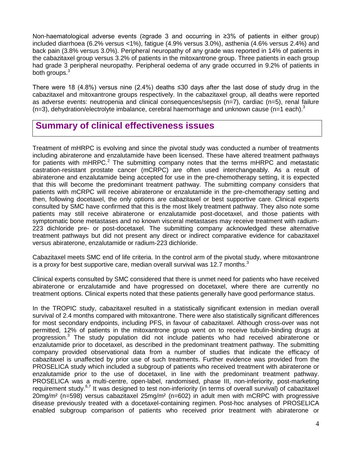Non-haematological adverse events (≥grade 3 and occurring in ≥3% of patients in either group) included diarrhoea (6.2% versus <1%), fatigue (4.9% versus 3.0%), asthenia (4.6% versus 2.4%) and back pain (3.8% versus 3.0%). Peripheral neuropathy of any grade was reported in 14% of patients in the cabazitaxel group versus 3.2% of patients in the mitoxantrone group. Three patients in each group had grade 3 peripheral neuropathy. Peripheral oedema of any grade occurred in 9.2% of patients in both groups.<sup>3</sup>

There were 18 (4.8%) versus nine (2.4%) deaths ≤30 days after the last dose of study drug in the cabazitaxel and mitoxantrone groups respectively. In the cabazitaxel group, all deaths were reported as adverse events: neutropenia and clinical consequences/sepsis (n=7), cardiac (n=5), renal failure (n=3), dehydration/electrolyte imbalance, cerebral haemorrhage and unknown cause (n=1 each).<sup>3</sup>

### **Summary of clinical effectiveness issues**

Treatment of mHRPC is evolving and since the pivotal study was conducted a number of treatments including abiraterone and enzalutamide have been licensed. These have altered treatment pathways for patients with mHRPC.<sup>2</sup> The submitting company notes that the terms mHRPC and metastatic castration-resistant prostate cancer (mCRPC) are often used interchangeably. As a result of abiraterone and enzalutamide being accepted for use in the pre-chemotherapy setting, it is expected that this will become the predominant treatment pathway. The submitting company considers that patients with mCRPC will receive abiraterone or enzalutamide in the pre-chemotherapy setting and then, following docetaxel, the only options are cabazitaxel or best supportive care. Clinical experts consulted by SMC have confirmed that this is the most likely treatment pathway. They also note some patients may still receive abiraterone or enzalutamide post-docetaxel, and those patients with symptomatic bone metastases and no known visceral metastases may receive treatment with radium-223 dichloride pre- or post-docetaxel. The submitting company acknowledged these alternative treatment pathways but did not present any direct or indirect comparative evidence for cabazitaxel versus abiraterone, enzalutamide or radium-223 dichloride.

Cabazitaxel meets SMC end of life criteria. In the control arm of the pivotal study, where mitoxantrone is a proxy for best supportive care, median overall survival was 12.7 months.<sup>3</sup>

Clinical experts consulted by SMC considered that there is unmet need for patients who have received abiraterone or enzalutamide and have progressed on docetaxel, where there are currently no treatment options. Clinical experts noted that these patients generally have good performance status.

In the TROPIC study, cabazitaxel resulted in a statistically significant extension in median overall survival of 2.4 months compared with mitoxantrone. There were also statistically significant differences for most secondary endpoints, including PFS, in favour of cabazitaxel. Although cross-over was not permitted, 12% of patients in the mitoxantrone group went on to receive tubulin-binding drugs at progression.<sup>3</sup> The study population did not include patients who had received abiraterone or enzalutamide prior to docetaxel, as described in the predominant treatment pathway. The submitting company provided observational data from a number of studies that indicate the efficacy of cabazitaxel is unaffected by prior use of such treatments. Further evidence was provided from the PROSELICA study which included a subgroup of patients who received treatment with abiraterone or enzalutamide prior to the use of docetaxel, in line with the predominant treatment pathway. PROSELICA was a multi-centre, open-label, randomised, phase III, non-inferiority, post-marketing requirement study.<sup>6,7</sup> It was designed to test non-inferiority (in terms of overall survival) of cabazitaxel 20mg/m² (n=598) versus cabazitaxel 25mg/m² (n=602) in adult men with mCRPC with progressive disease previously treated with a docetaxel-containing regimen. Post-hoc analyses of PROSELICA enabled subgroup comparison of patients who received prior treatment with abiraterone or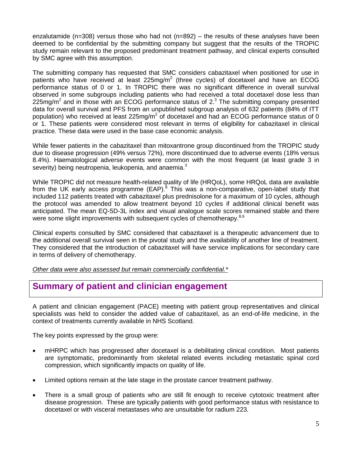enzalutamide ( $n=308$ ) versus those who had not ( $n=892$ ) – the results of these analyses have been deemed to be confidential by the submitting company but suggest that the results of the TROPIC study remain relevant to the proposed predominant treatment pathway, and clinical experts consulted by SMC agree with this assumption.

The submitting company has requested that SMC considers cabazitaxel when positioned for use in patients who have received at least 225mg/m<sup>2</sup> (three cycles) of docetaxel and have an ECOG performance status of 0 or 1. In TROPIC there was no significant difference in overall survival observed in some subgroups including patients who had received a total docetaxel dose less than 225mg/m<sup>2</sup> and in those with an ECOG performance status of  $2.3$  The submitting company presented data for overall survival and PFS from an unpublished subgroup analysis of 632 patients (84% of ITT population) who received at least 225mg/m<sup>2</sup> of docetaxel and had an ECOG performance status of 0 or 1. These patients were considered most relevant in terms of eligibility for cabazitaxel in clinical practice. These data were used in the base case economic analysis.

While fewer patients in the cabazitaxel than mitoxantrone group discontinued from the TROPIC study due to disease progression (49% versus 72%), more discontinued due to adverse events (18% versus 8.4%). Haematological adverse events were common with the most frequent (at least grade 3 in severity) being neutropenia, leukopenia, and anaemia.<sup>3</sup>

While TROPIC did not measure health-related quality of life (HRQoL), some HRQoL data are available from the UK early access programme (EAP).<sup>8</sup> This was a non-comparative, open-label study that included 112 patients treated with cabazitaxel plus prednisolone for a maximum of 10 cycles, although the protocol was amended to allow treatment beyond 10 cycles if additional clinical benefit was anticipated. The mean EQ-5D-3L index and visual analogue scale scores remained stable and there were some slight improvements with subsequent cycles of chemotherapy.<sup>8,9</sup>

Clinical experts consulted by SMC considered that cabazitaxel is a therapeutic advancement due to the additional overall survival seen in the pivotal study and the availability of another line of treatment. They considered that the introduction of cabazitaxel will have service implications for secondary care in terms of delivery of chemotherapy.

*Other data were also assessed but remain commercially confidential.\**

### **Summary of patient and clinician engagement**

A patient and clinician engagement (PACE) meeting with patient group representatives and clinical specialists was held to consider the added value of cabazitaxel, as an end-of-life medicine, in the context of treatments currently available in NHS Scotland.

The key points expressed by the group were:

- mHRPC which has progressed after docetaxel is a debilitating clinical condition. Most patients are symptomatic, predominantly from skeletal related events including metastatic spinal cord compression, which significantly impacts on quality of life.
- Limited options remain at the late stage in the prostate cancer treatment pathway.
- There is a small group of patients who are still fit enough to receive cytotoxic treatment after disease progression. These are typically patients with good performance status with resistance to docetaxel or with visceral metastases who are unsuitable for radium 223.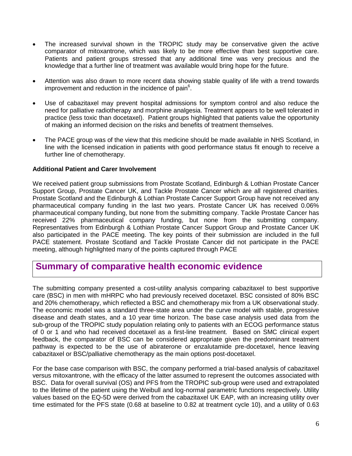- The increased survival shown in the TROPIC study may be conservative given the active comparator of mitoxantrone, which was likely to be more effective than best supportive care. Patients and patient groups stressed that any additional time was very precious and the knowledge that a further line of treatment was available would bring hope for the future.
- Attention was also drawn to more recent data showing stable quality of life with a trend towards improvement and reduction in the incidence of pain $6$ .
- Use of cabazitaxel may prevent hospital admissions for symptom control and also reduce the need for palliative radiotherapy and morphine analgesia. Treatment appears to be well tolerated in practice (less toxic than docetaxel). Patient groups highlighted that patients value the opportunity of making an informed decision on the risks and benefits of treatment themselves.
- The PACE group was of the view that this medicine should be made available in NHS Scotland, in line with the licensed indication in patients with good performance status fit enough to receive a further line of chemotherapy.

#### **Additional Patient and Carer Involvement**

We received patient group submissions from Prostate Scotland, Edinburgh & Lothian Prostate Cancer Support Group, Prostate Cancer UK, and Tackle Prostate Cancer which are all registered charities. Prostate Scotland and the Edinburgh & Lothian Prostate Cancer Support Group have not received any pharmaceutical company funding in the last two years. Prostate Cancer UK has received 0.06% pharmaceutical company funding, but none from the submitting company. Tackle Prostate Cancer has received 22% pharmaceutical company funding, but none from the submitting company. Representatives from Edinburgh & Lothian Prostate Cancer Support Group and Prostate Cancer UK also participated in the PACE meeting. The key points of their submission are included in the full PACE statement. Prostate Scotland and Tackle Prostate Cancer did not participate in the PACE meeting, although highlighted many of the points captured through PACE

#### **Summary of comparative health economic evidence**

The submitting company presented a cost-utility analysis comparing cabazitaxel to best supportive care (BSC) in men with mHRPC who had previously received docetaxel. BSC consisted of 80% BSC and 20% chemotherapy, which reflected a BSC and chemotherapy mix from a UK observational study. The economic model was a standard three-state area under the curve model with stable, progressive disease and death states, and a 10 year time horizon. The base case analysis used data from the sub-group of the TROPIC study population relating only to patients with an ECOG performance status of 0 or 1 and who had received docetaxel as a first-line treatment. Based on SMC clinical expert feedback, the comparator of BSC can be considered appropriate given the predominant treatment pathway is expected to be the use of abiraterone or enzalutamide pre-docetaxel, hence leaving cabazitaxel or BSC/palliative chemotherapy as the main options post-docetaxel.

For the base case comparison with BSC, the company performed a trial-based analysis of cabazitaxel versus mitoxantrone, with the efficacy of the latter assumed to represent the outcomes associated with BSC. Data for overall survival (OS) and PFS from the TROPIC sub-group were used and extrapolated to the lifetime of the patient using the Weibull and log-normal parametric functions respectively. Utility values based on the EQ-5D were derived from the cabazitaxel UK EAP, with an increasing utility over time estimated for the PFS state (0.68 at baseline to 0.82 at treatment cycle 10), and a utility of 0.63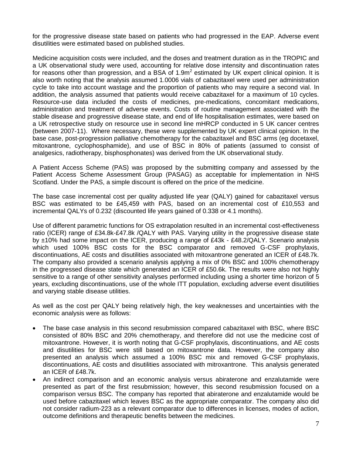for the progressive disease state based on patients who had progressed in the EAP. Adverse event disutilities were estimated based on published studies.

Medicine acquisition costs were included, and the doses and treatment duration as in the TROPIC and a UK observational study were used, accounting for relative dose intensity and discontinuation rates for reasons other than progression, and a BSA of 1.9m<sup>2</sup> estimated by UK expert clinical opinion. It is also worth noting that the analysis assumed 1.0006 vials of cabazitaxel were used per administration cycle to take into account wastage and the proportion of patients who may require a second vial. In addition, the analysis assumed that patients would receive cabazitaxel for a maximum of 10 cycles. Resource-use data included the costs of medicines, pre-medications, concomitant medications, administration and treatment of adverse events. Costs of routine management associated with the stable disease and progressive disease state, and end of life hospitalisation estimates, were based on a UK retrospective study on resource use in second line mHRCP conducted in 5 UK cancer centres (between 2007-11). Where necessary, these were supplemented by UK expert clinical opinion. In the base case, post-progression palliative chemotherapy for the cabazitaxel and BSC arms (eg docetaxel, mitoxantrone, cyclophosphamide), and use of BSC in 80% of patients (assumed to consist of analgesics, radiotherapy, bisphosphonates) was derived from the UK observational study.

A Patient Access Scheme (PAS) was proposed by the submitting company and assessed by the Patient Access Scheme Assessment Group (PASAG) as acceptable for implementation in NHS Scotland. Under the PAS, a simple discount is offered on the price of the medicine.

The base case incremental cost per quality adjusted life year (QALY) gained for cabazitaxel versus BSC was estimated to be £45,459 with PAS, based on an incremental cost of £10,553 and incremental QALYs of 0.232 (discounted life years gained of 0.338 or 4.1 months).

Use of different parametric functions for OS extrapolation resulted in an incremental cost-effectiveness ratio (ICER) range of £34.8k-£47.8k /QALY with PAS. Varying utility in the progressive disease state by ±10% had some impact on the ICER, producing a range of £43k - £48.2/QALY. Scenario analysis which used 100% BSC costs for the BSC comparator and removed G-CSF prophylaxis, discontinuations, AE costs and disutilities associated with mitoxantrone generated an ICER of £48.7k. The company also provided a scenario analysis applying a mix of 0% BSC and 100% chemotherapy in the progressed disease state which generated an ICER of £50.6k. The results were also not highly sensitive to a range of other sensitivity analyses performed including using a shorter time horizon of 5 years, excluding discontinuations, use of the whole ITT population, excluding adverse event disutilities and varying stable disease utilities.

As well as the cost per QALY being relatively high, the key weaknesses and uncertainties with the economic analysis were as follows:

- The base case analysis in this second resubmission compared cabazitaxel with BSC, where BSC consisted of 80% BSC and 20% chemotherapy, and therefore did not use the medicine cost of mitoxantrone. However, it is worth noting that G-CSF prophylaxis, discontinuations, and AE costs and disutilities for BSC were still based on mitoxantrone data. However, the company also presented an analysis which assumed a 100% BSC mix and removed G-CSF prophylaxis, discontinuations, AE costs and disutilities associated with mitroxantrone. This analysis generated an ICER of £48.7k.
- An indirect comparison and an economic analysis versus abiraterone and enzalutamide were presented as part of the first resubmission; however, this second resubmission focused on a comparison versus BSC. The company has reported that abiraterone and enzalutamide would be used before cabazitaxel which leaves BSC as the appropriate comparator. The company also did not consider radium-223 as a relevant comparator due to differences in licenses, modes of action, outcome definitions and therapeutic benefits between the medicines.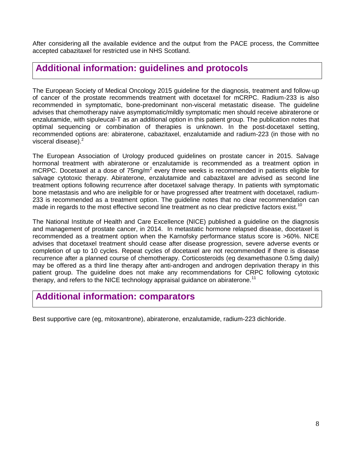After considering all the available evidence and the output from the PACE process, the Committee accepted cabazitaxel for restricted use in NHS Scotland.

#### **Additional information: guidelines and protocols**

The European Society of Medical Oncology 2015 guideline for the diagnosis, treatment and follow-up of cancer of the prostate recommends treatment with docetaxel for mCRPC. Radium-233 is also recommended in symptomatic, bone-predominant non-visceral metastatic disease. The guideline advises that chemotherapy naive asymptomatic/mildly symptomatic men should receive abiraterone or enzalutamide, with sipuleucal-T as an additional option in this patient group. The publication notes that optimal sequencing or combination of therapies is unknown. In the post-docetaxel setting, recommended options are: abiraterone, cabazitaxel, enzalutamide and radium-223 (in those with no visceral disease).<sup>2</sup>

The European Association of Urology produced guidelines on prostate cancer in 2015. Salvage hormonal treatment with abiraterone or enzalutamide is recommended as a treatment option in mCRPC. Docetaxel at a dose of 75mg/m<sup>2</sup> every three weeks is recommended in patients eligible for salvage cytotoxic therapy. Abiraterone, enzalutamide and cabazitaxel are advised as second line treatment options following recurrence after docetaxel salvage therapy. In patients with symptomatic bone metastasis and who are ineligible for or have progressed after treatment with docetaxel, radium-233 is recommended as a treatment option. The guideline notes that no clear recommendation can made in regards to the most effective second line treatment as no clear predictive factors exist.<sup>10</sup>

The National Institute of Health and Care Excellence (NICE) published a guideline on the diagnosis and management of prostate cancer, in 2014. In metastatic hormone relapsed disease, docetaxel is recommended as a treatment option when the Karnofsky performance status score is >60%. NICE advises that docetaxel treatment should cease after disease progression, severe adverse events or completion of up to 10 cycles. Repeat cycles of docetaxel are not recommended if there is disease recurrence after a planned course of chemotherapy. Corticosteroids (eg dexamethasone 0.5mg daily) may be offered as a third line therapy after anti-androgen and androgen deprivation therapy in this patient group. The guideline does not make any recommendations for CRPC following cytotoxic therapy, and refers to the NICE technology appraisal guidance on abiraterone.<sup>11</sup>

### **Additional information: comparators**

Best supportive care (eg, mitoxantrone), abiraterone, enzalutamide, radium-223 dichloride.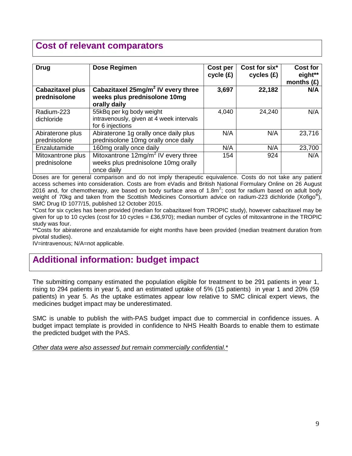# **Cost of relevant comparators**

| <b>Drug</b>                             | Dose Regimen                                                                                         | Cost per<br>cycle (£) | Cost for six*<br>cycles(f) | <b>Cost for</b><br>eight**<br>months $(E)$ |
|-----------------------------------------|------------------------------------------------------------------------------------------------------|-----------------------|----------------------------|--------------------------------------------|
| <b>Cabazitaxel plus</b><br>prednisolone | Cabazitaxel 25mg/m <sup>2</sup> IV every three<br>weeks plus prednisolone 10mg<br>orally daily       | 3,697                 | 22,182                     | N/A                                        |
| Radium-223<br>dichloride                | 55kBq per kg body weight<br>intravenously, given at 4 week intervals<br>for 6 injections             | 4,040                 | 24,240                     | N/A                                        |
| Abiraterone plus<br>prednisolone        | Abiraterone 1g orally once daily plus<br>prednisolone 10mg orally once daily                         | N/A                   | N/A                        | 23,716                                     |
| Enzalutamide                            | 160mg orally once daily                                                                              | N/A                   | N/A                        | 23,700                                     |
| Mitoxantrone plus<br>prednisolone       | Mitoxantrone 12mg/m <sup>2</sup> IV every three<br>weeks plus prednisolone 10mg orally<br>once daily | 154                   | 924                        | N/A                                        |

Doses are for general comparison and do not imply therapeutic equivalence. Costs do not take any patient access schemes into consideration. Costs are from eVadis and British National Formulary Online on 26 August 2016 and, for chemotherapy, are based on body surface area of 1.8m<sup>2</sup>; cost for radium based on adult body weight of 70kg and taken from the Scottish Medicines Consortium advice on radium-223 dichloride (Xofigo**®** ), SMC Drug ID 1077/15, published 12 October 2015.

\*Cost for six cycles has been provided (median for cabazitaxel from TROPIC study), however cabazitaxel may be given for up to 10 cycles (cost for 10 cycles = £36,970); median number of cycles of mitoxantrone in the TROPIC study was four.

\*\*Costs for abiraterone and enzalutamide for eight months have been provided (median treatment duration from pivotal studies).

IV=intravenous; N/A=not applicable.

# **Additional information: budget impact**

The submitting company estimated the population eligible for treatment to be 291 patients in year 1, rising to 294 patients in year 5, and an estimated uptake of 5% (15 patients) in year 1 and 20% (59 patients) in year 5. As the uptake estimates appear low relative to SMC clinical expert views, the medicines budget impact may be underestimated.

SMC is unable to publish the with-PAS budget impact due to commercial in confidence issues. A budget impact template is provided in confidence to NHS Health Boards to enable them to estimate the predicted budget with the PAS.

*Other data were also assessed but remain commercially confidential.\**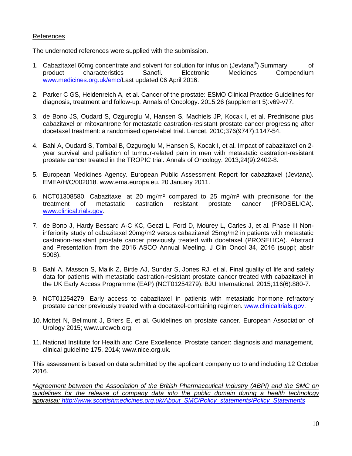#### References

The undernoted references were supplied with the submission.

- 1. Cabazitaxel 60mg concentrate and solvent for solution for infusion (Jevtana<sup>®</sup>) Summary of product characteristics Sanofi. Electronic Medicines Compendium [www.medicines.org.uk/emc/L](http://www.medicines.org.uk/emc/)ast updated 06 April 2016.
- 2. Parker C GS, Heidenreich A, et al. Cancer of the prostate: ESMO Clinical Practice Guidelines for diagnosis, treatment and follow-up. Annals of Oncology. 2015;26 (supplement 5):v69-v77.
- 3. de Bono JS, Oudard S, Ozguroglu M, Hansen S, Machiels JP, Kocak I, et al. Prednisone plus cabazitaxel or mitoxantrone for metastatic castration-resistant prostate cancer progressing after docetaxel treatment: a randomised open-label trial. Lancet. 2010;376(9747):1147-54.
- 4. Bahl A, Oudard S, Tombal B, Ozguroglu M, Hansen S, Kocak I, et al. Impact of cabazitaxel on 2 year survival and palliation of tumour-related pain in men with metastatic castration-resistant prostate cancer treated in the TROPIC trial. Annals of Oncology. 2013;24(9):2402-8.
- 5. European Medicines Agency. European Public Assessment Report for cabazitaxel (Jevtana). EMEA/H/C/002018. www.ema.europa.eu. 20 January 2011.
- 6. NCT01308580. Cabazitaxel at 20 mg/m² compared to 25 mg/m² with prednisone for the treatment of metastatic castration resistant prostate cancer (PROSELICA). [www.clinicaltrials.gov.](http://www.clinicaltrials.gov/)
- 7. de Bono J, Hardy Bessard A-C KC, Geczi L, Ford D, Mourey L, Carles J, et al. Phase III Noninferiority study of cabazitaxel 20mg/m2 versus cabazitaxel 25mg/m2 in patients with metastatic castration-resistant prostate cancer previously treated with docetaxel (PROSELICA). Abstract and Presentation from the 2016 ASCO Annual Meeting. J Clin Oncol 34, 2016 (suppl; abstr 5008).
- 8. Bahl A, Masson S, Malik Z, Birtle AJ, Sundar S, Jones RJ, et al. Final quality of life and safety data for patients with metastatic castration-resistant prostate cancer treated with cabazitaxel in the UK Early Access Programme (EAP) (NCT01254279). BJU International. 2015;116(6):880-7.
- 9. NCT01254279. Early access to cabazitaxel in patients with metastatic hormone refractory prostate cancer previously treated with a docetaxel-containing regimen. [www.clinicaltrials.gov.](http://www.clinicaltrials.gov/)
- 10. Mottet N, Bellmunt J, Briers E, et al. Guidelines on prostate cancer. European Association of Urology 2015; www.uroweb.org.
- 11. National Institute for Health and Care Excellence. Prostate cancer: diagnosis and management, clinical guideline 175. 2014; www.nice.org.uk.

This assessment is based on data submitted by the applicant company up to and including 12 October 2016.

*\*Agreement between the Association of the British Pharmaceutical Industry (ABPI) and the SMC on guidelines for the release of company data into the public domain during a health technology appraisal: [http://www.scottishmedicines.org.uk/About\\_SMC/Policy\\_statements/Policy\\_Statements](http://www.scottishmedicines.org.uk/About_SMC/Policy_statements/Policy_Statements)*